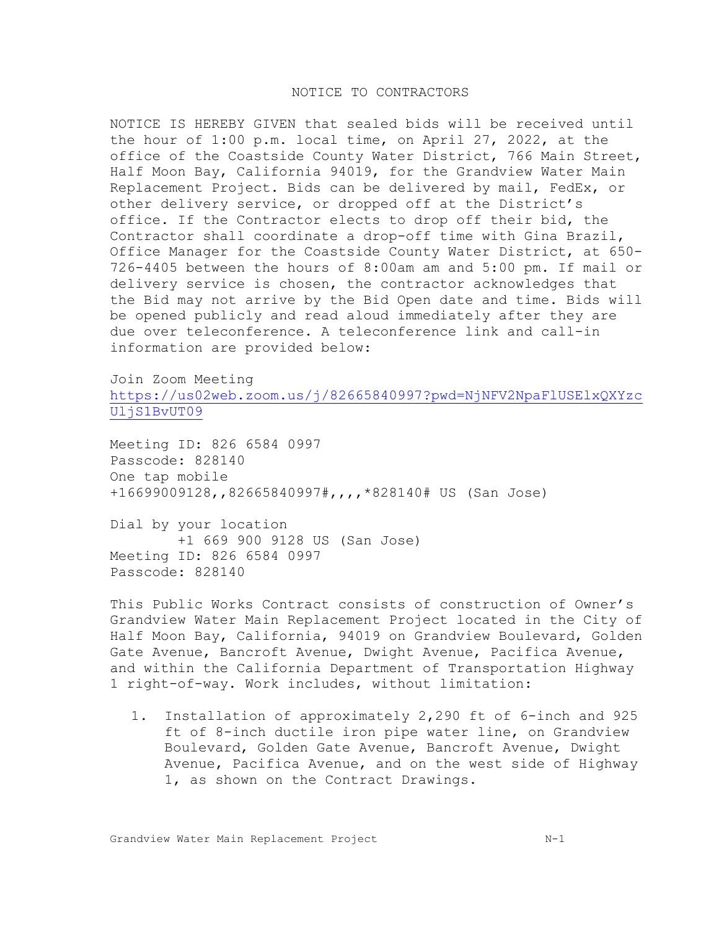## NOTICE TO CONTRACTORS

NOTICE IS HEREBY GIVEN that sealed bids will be received until the hour of 1:00 p.m. local time, on April 27, 2022, at the office of the Coastside County Water District, 766 Main Street, Half Moon Bay, California 94019, for the Grandview Water Main Replacement Project. Bids can be delivered by mail, FedEx, or other delivery service, or dropped off at the District's office. If the Contractor elects to drop off their bid, the Contractor shall coordinate a drop-off time with Gina Brazil, Office Manager for the Coastside County Water District, at 650- 726-4405 between the hours of 8:00am am and 5:00 pm. If mail or delivery service is chosen, the contractor acknowledges that the Bid may not arrive by the Bid Open date and time. Bids will be opened publicly and read aloud immediately after they are due over teleconference. A teleconference link and call-in information are provided below:

Join Zoom Meeting [https://us02web.zoom.us/j/82665840997?pwd=NjNFV2NpaFlUSElxQXYzc](https://us02web.zoom.us/j/82665840997?pwd=NjNFV2NpaFlUSElxQXYzcUljS1BvUT09) [UljS1BvUT09](https://us02web.zoom.us/j/82665840997?pwd=NjNFV2NpaFlUSElxQXYzcUljS1BvUT09)

Meeting ID: 826 6584 0997 Passcode: 828140 One tap mobile +16699009128,,82665840997#,,,,\*828140# US (San Jose)

Dial by your location +1 669 900 9128 US (San Jose) Meeting ID: 826 6584 0997 Passcode: 828140

This Public Works Contract consists of construction of Owner's Grandview Water Main Replacement Project located in the City of Half Moon Bay, California, 94019 on Grandview Boulevard, Golden Gate Avenue, Bancroft Avenue, Dwight Avenue, Pacifica Avenue, and within the California Department of Transportation Highway 1 right-of-way. Work includes, without limitation:

1. Installation of approximately 2,290 ft of 6-inch and 925 ft of 8-inch ductile iron pipe water line, on Grandview Boulevard, Golden Gate Avenue, Bancroft Avenue, Dwight Avenue, Pacifica Avenue, and on the west side of Highway 1, as shown on the Contract Drawings.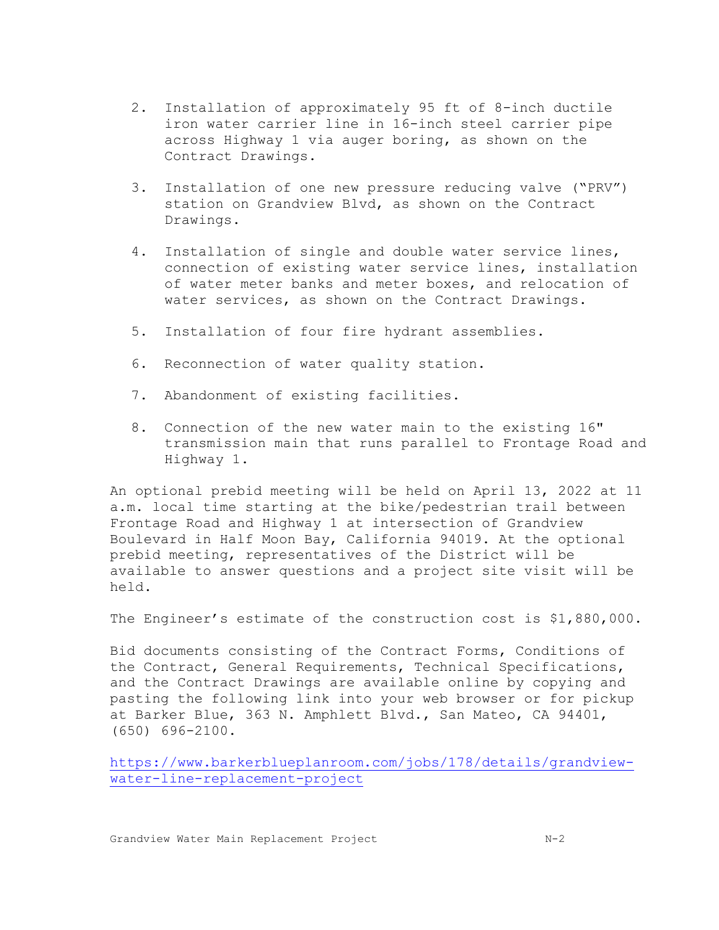- 2. Installation of approximately 95 ft of 8-inch ductile iron water carrier line in 16-inch steel carrier pipe across Highway 1 via auger boring, as shown on the Contract Drawings.
- 3. Installation of one new pressure reducing valve ("PRV") station on Grandview Blvd, as shown on the Contract Drawings.
- 4. Installation of single and double water service lines, connection of existing water service lines, installation of water meter banks and meter boxes, and relocation of water services, as shown on the Contract Drawings.
- 5. Installation of four fire hydrant assemblies.
- 6. Reconnection of water quality station.
- 7. Abandonment of existing facilities.
- 8. Connection of the new water main to the existing 16" transmission main that runs parallel to Frontage Road and Highway 1.

An optional prebid meeting will be held on April 13, 2022 at 11 a.m. local time starting at the bike/pedestrian trail between Frontage Road and Highway 1 at intersection of Grandview Boulevard in Half Moon Bay, California 94019. At the optional prebid meeting, representatives of the District will be available to answer questions and a project site visit will be held.

The Engineer's estimate of the construction cost is \$1,880,000.

Bid documents consisting of the Contract Forms, Conditions of the Contract, General Requirements, Technical Specifications, and the Contract Drawings are available online by copying and pasting the following link into your web browser or for pickup at Barker Blue, 363 N. Amphlett Blvd., San Mateo, CA 94401, (650) 696-2100.

[https://www.barkerblueplanroom.com/jobs/178/details/grandview](https://www.barkerblueplanroom.com/jobs/178/details/grandview-water-line-replacement-project)[water-line-replacement-project](https://www.barkerblueplanroom.com/jobs/178/details/grandview-water-line-replacement-project)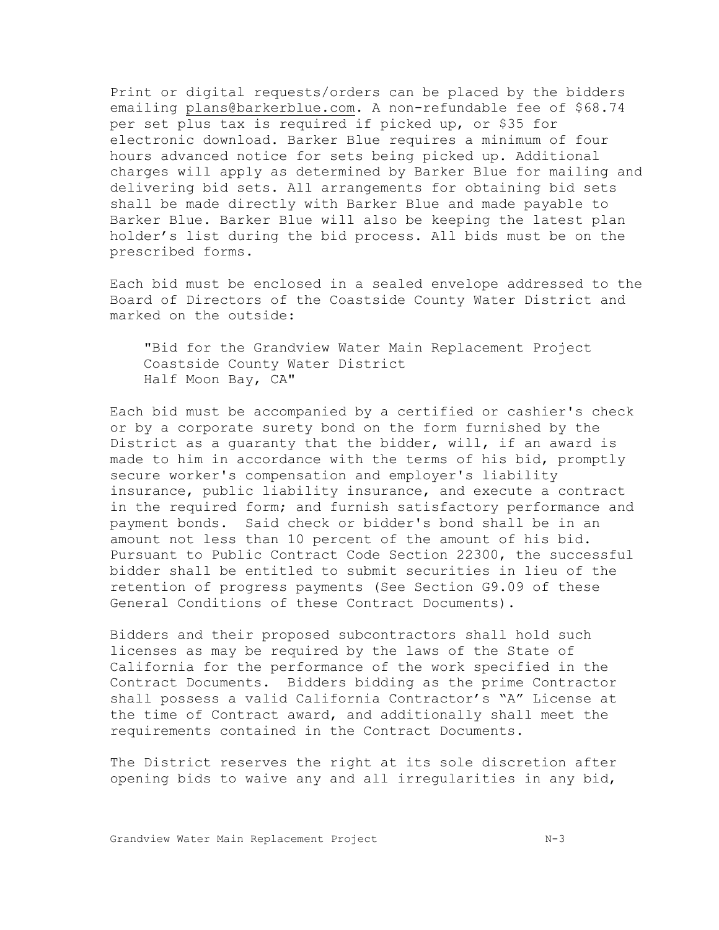Print or digital requests/orders can be placed by the bidders emailing [plans@barkerblue.com.](mailto:plans@barkerblue.com) A non-refundable fee of \$68.74 per set plus tax is required if picked up, or \$35 for electronic download. Barker Blue requires a minimum of four hours advanced notice for sets being picked up. Additional charges will apply as determined by Barker Blue for mailing and delivering bid sets. All arrangements for obtaining bid sets shall be made directly with Barker Blue and made payable to Barker Blue. Barker Blue will also be keeping the latest plan holder's list during the bid process. All bids must be on the prescribed forms.

Each bid must be enclosed in a sealed envelope addressed to the Board of Directors of the Coastside County Water District and marked on the outside:

"Bid for the Grandview Water Main Replacement Project Coastside County Water District Half Moon Bay, CA"

Each bid must be accompanied by a certified or cashier's check or by a corporate surety bond on the form furnished by the District as a guaranty that the bidder, will, if an award is made to him in accordance with the terms of his bid, promptly secure worker's compensation and employer's liability insurance, public liability insurance, and execute a contract in the required form; and furnish satisfactory performance and payment bonds. Said check or bidder's bond shall be in an amount not less than 10 percent of the amount of his bid. Pursuant to Public Contract Code Section 22300, the successful bidder shall be entitled to submit securities in lieu of the retention of progress payments (See Section G9.09 of these General Conditions of these Contract Documents).

Bidders and their proposed subcontractors shall hold such licenses as may be required by the laws of the State of California for the performance of the work specified in the Contract Documents. Bidders bidding as the prime Contractor shall possess a valid California Contractor's "A" License at the time of Contract award, and additionally shall meet the requirements contained in the Contract Documents.

The District reserves the right at its sole discretion after opening bids to waive any and all irregularities in any bid,